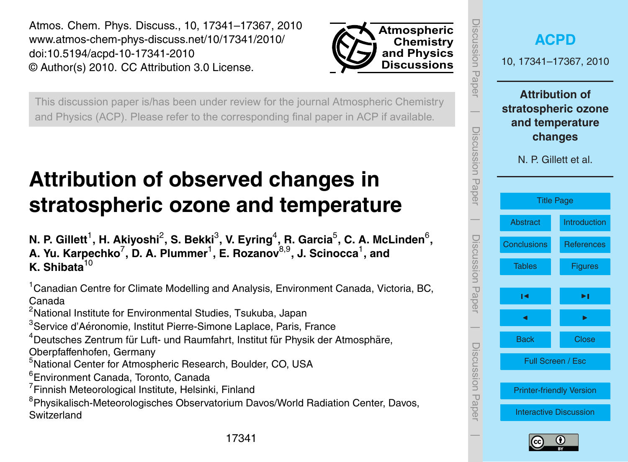<span id="page-0-0"></span>Atmos. Chem. Phys. Discuss., 10, 17341–17367, 2010 www.atmos-chem-phys-discuss.net/10/17341/2010/ doi:10.5194/acpd-10-17341-2010 © Author(s) 2010. CC Attribution 3.0 License.



This discussion paper is/has been under review for the journal Atmospheric Chemistry and Physics (ACP). Please refer to the corresponding final paper in ACP if available.

# **Attribution of observed changes in stratospheric ozone and temperature**

N. P. Gillett<sup>1</sup>, H. Akiyoshi<sup>2</sup>, S. Bekki<sup>3</sup>, V. Eyring<sup>4</sup>, R. Garcia<sup>5</sup>, C. A. McLinden<sup>6</sup>, **A. Yu. Karpechko**<sup>7</sup> **, D. A. Plummer**<sup>1</sup> **, E. Rozanov**8,9**, J. Scinocca**<sup>1</sup> **, and K. Shibata**<sup>10</sup>

<sup>1</sup>Canadian Centre for Climate Modelling and Analysis, Environment Canada, Victoria, BC, Canada

<sup>2</sup>National Institute for Environmental Studies, Tsukuba, Japan

<sup>3</sup>Service d'Aéronomie, Institut Pierre-Simone Laplace, Paris, France

 $4$ Deutsches Zentrum für Luft- und Raumfahrt, Institut für Physik der Atmosphäre,

Oberpfaffenhofen, Germany

<sup>5</sup>National Center for Atmospheric Research, Boulder, CO, USA

<sup>6</sup>Environment Canada, Toronto, Canada

<sup>7</sup> Finnish Meteorological Institute, Helsinki, Finland

<sup>8</sup>Physikalisch-Meteorologisches Observatorium Davos/World Radiation Center, Davos, **Switzerland** 



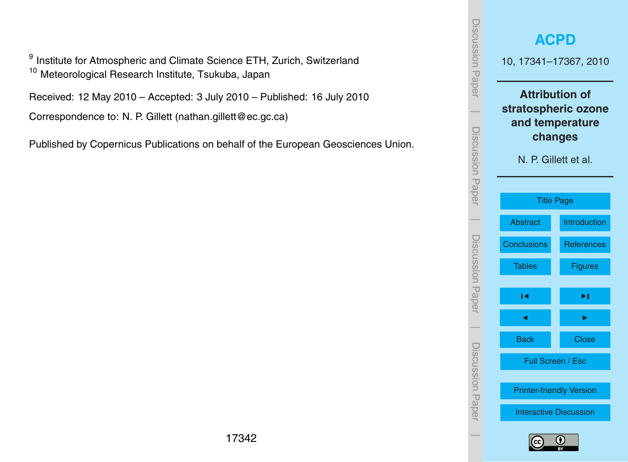<sup>9</sup> Institute for Atmospheric and Climate Science ETH, Zurich, Switzerland <sup>10</sup> Meteorological Research Institute, Tsukuba, Japan

Received: 12 May 2010 – Accepted: 3 July 2010 – Published: 16 July 2010

Correspondence to: N. P. Gillett (nathan.gillett@ec.gc.ca)

Published by Copernicus Publications on behalf of the European Geosciences Union.

| <b>ISCUSSION PAPPIT</b> |                                 | <b>ACPD</b><br>10, 17341-17367, 2010                                                               |  |  |  |  |
|-------------------------|---------------------------------|----------------------------------------------------------------------------------------------------|--|--|--|--|
| Discussion Paper        |                                 | <b>Attribution of</b><br>stratospheric ozone<br>and temperature<br>changes<br>N. P. Gillett et al. |  |  |  |  |
|                         |                                 | <b>Title Page</b>                                                                                  |  |  |  |  |
|                         | <b>Abstract</b>                 | Introduction                                                                                       |  |  |  |  |
|                         | <b>Conclusions</b>              | <b>References</b>                                                                                  |  |  |  |  |
| Discussion<br>Papel     | Tables                          | <b>Figures</b>                                                                                     |  |  |  |  |
|                         | ∣◀                              | ▸∣                                                                                                 |  |  |  |  |
|                         | d                               |                                                                                                    |  |  |  |  |
|                         | <b>Back</b>                     | <b>Close</b>                                                                                       |  |  |  |  |
| Discussion Hapel        | Full Screen / Esc               |                                                                                                    |  |  |  |  |
|                         | <b>Printer-friendly Version</b> |                                                                                                    |  |  |  |  |
|                         | <b>Interactive Discussion</b>   |                                                                                                    |  |  |  |  |
|                         |                                 |                                                                                                    |  |  |  |  |

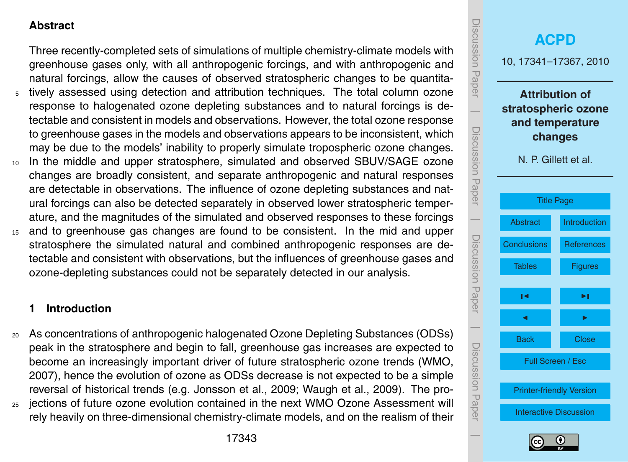## <span id="page-2-0"></span>**Abstract**

Three recently-completed sets of simulations of multiple chemistry-climate models with greenhouse gases only, with all anthropogenic forcings, and with anthropogenic and natural forcings, allow the causes of observed stratospheric changes to be quantita-<sup>5</sup> tively assessed using detection and attribution techniques. The total column ozone response to halogenated ozone depleting substances and to natural forcings is detectable and consistent in models and observations. However, the total ozone response to greenhouse gases in the models and observations appears to be inconsistent, which may be due to the models' inability to properly simulate tropospheric ozone changes.

- <sup>10</sup> In the middle and upper stratosphere, simulated and observed SBUV/SAGE ozone changes are broadly consistent, and separate anthropogenic and natural responses are detectable in observations. The influence of ozone depleting substances and natural forcings can also be detected separately in observed lower stratospheric temperature, and the magnitudes of the simulated and observed responses to these forcings
- <sup>15</sup> and to greenhouse gas changes are found to be consistent. In the mid and upper stratosphere the simulated natural and combined anthropogenic responses are detectable and consistent with observations, but the influences of greenhouse gases and ozone-depleting substances could not be separately detected in our analysis.

## **1 Introduction**

<sup>20</sup> As concentrations of anthropogenic halogenated Ozone Depleting Substances (ODSs) peak in the stratosphere and begin to fall, greenhouse gas increases are expected to become an increasingly important driver of future stratospheric ozone trends [\(WMO,](#page-18-0) [2007\)](#page-18-0), hence the evolution of ozone as ODSs decrease is not expected to be a simple reversal of historical trends (e.g. [Jonsson et al.,](#page-16-0) [2009;](#page-16-0) [Waugh et al.,](#page-18-0) [2009\)](#page-18-0). The pro-<sup>25</sup> jections of future ozone evolution contained in the next WMO Ozone Assessment will





rely heavily on three-dimensional chemistry-climate models, and on the realism of their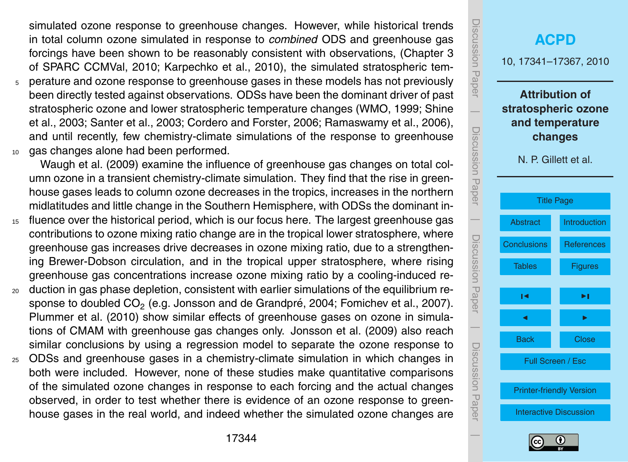<span id="page-3-0"></span>simulated ozone response to greenhouse changes. However, while historical trends in total column ozone simulated in response to *combined* ODS and greenhouse gas forcings have been shown to be reasonably consistent with observations, (Chapter 3 of [SPARC CCMVal,](#page-17-0) [2010;](#page-17-0) [Karpechko et al.,](#page-16-0) [2010\)](#page-16-0), the simulated stratospheric tem-

<sup>5</sup> perature and ozone response to greenhouse gases in these models has not previously been directly tested against observations. ODSs have been the dominant driver of past [s](#page-17-0)tratospheric ozone and lower stratospheric temperature changes [\(WMO,](#page-18-0) [1999;](#page-18-0) [Shine](#page-17-0) [et al.,](#page-17-0) [2003;](#page-17-0) [Santer et al.,](#page-17-0) [2003;](#page-17-0) [Cordero and Forster,](#page-15-0) [2006;](#page-15-0) [Ramaswamy et al.,](#page-16-0) [2006\)](#page-16-0), and until recently, few chemistry-climate simulations of the response to greenhouse <sup>10</sup> gas changes alone had been performed.

[Waugh et al.](#page-18-0) [\(2009\)](#page-18-0) examine the influence of greenhouse gas changes on total column ozone in a transient chemistry-climate simulation. They find that the rise in greenhouse gases leads to column ozone decreases in the tropics, increases in the northern midlatitudes and little change in the Southern Hemisphere, with ODSs the dominant in-

- <sup>15</sup> fluence over the historical period, which is our focus here. The largest greenhouse gas contributions to ozone mixing ratio change are in the tropical lower stratosphere, where greenhouse gas increases drive decreases in ozone mixing ratio, due to a strengthening Brewer-Dobson circulation, and in the tropical upper stratosphere, where rising greenhouse gas concentrations increase ozone mixing ratio by a cooling-induced re-
- <sup>20</sup> duction in gas phase depletion, consistent with earlier simulations of the equilibrium re-sponse to doubled CO<sub>2</sub> (e.g. Jonsson and de Grandpré, [2004;](#page-16-0) [Fomichev et al.,](#page-15-0) [2007\)](#page-15-0). [Plummer et al.](#page-16-0) [\(2010\)](#page-16-0) show similar effects of greenhouse gases on ozone in simulations of CMAM with greenhouse gas changes only. [Jonsson et al.](#page-16-0) [\(2009\)](#page-16-0) also reach similar conclusions by using a regression model to separate the ozone response to
- <sup>25</sup> ODSs and greenhouse gases in a chemistry-climate simulation in which changes in both were included. However, none of these studies make quantitative comparisons of the simulated ozone changes in response to each forcing and the actual changes observed, in order to test whether there is evidence of an ozone response to greenhouse gases in the real world, and indeed whether the simulated ozone changes are



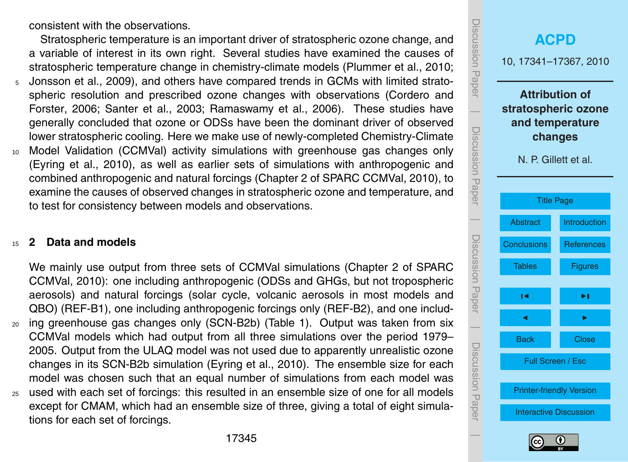<span id="page-4-0"></span>consistent with the observations.

Stratospheric temperature is an important driver of stratospheric ozone change, and a variable of interest in its own right. Several studies have examined the causes of stratospheric temperature change in chemistry-climate models [\(Plummer et al.,](#page-16-0) [2010;](#page-16-0)

- <sup>5</sup> [Jonsson et al.,](#page-16-0) [2009\)](#page-16-0), and others have compared trends in GCMs with limited strato[s](#page-15-0)pheric resolution and prescribed ozone changes with observations [\(Cordero and](#page-15-0) [Forster,](#page-15-0) [2006;](#page-15-0) [Santer et al.,](#page-17-0) [2003;](#page-17-0) [Ramaswamy et al.,](#page-16-0) [2006\)](#page-16-0). These studies have generally concluded that ozone or ODSs have been the dominant driver of observed lower stratospheric cooling. Here we make use of newly-completed Chemistry-Climate
- <sup>10</sup> Model Validation (CCMVal) activity simulations with greenhouse gas changes only [\(Eyring et al.,](#page-15-0) [2010\)](#page-15-0), as well as earlier sets of simulations with anthropogenic and combined anthropogenic and natural forcings (Chapter 2 of [SPARC CCMVal,](#page-17-0) [2010\)](#page-17-0), to examine the causes of observed changes in stratospheric ozone and temperature, and to test for consistency between models and observations.

#### <sup>15</sup> **2 Data and models**

[W](#page-17-0)e mainly use output from three sets of CCMVal simulations (Chapter 2 of [SPARC](#page-17-0) [CCMVal,](#page-17-0) [2010\)](#page-17-0): one including anthropogenic (ODSs and GHGs, but not tropospheric aerosols) and natural forcings (solar cycle, volcanic aerosols in most models and QBO) (REF-B1), one including anthropogenic forcings only (REF-B2), and one includ-<sup>20</sup> ing greenhouse gas changes only (SCN-B2b) (Table [1\)](#page-19-0). Output was taken from six CCMVal models which had output from all three simulations over the period 1979– 2005. Output from the ULAQ model was not used due to apparently unrealistic ozone changes in its SCN-B2b simulation [\(Eyring et al.,](#page-15-0) [2010\)](#page-15-0). The ensemble size for each model was chosen such that an equal number of simulations from each model was <sup>25</sup> used with each set of forcings: this resulted in an ensemble size of one for all models except for CMAM, which had an ensemble size of three, giving a total of eight simulations for each set of forcings.



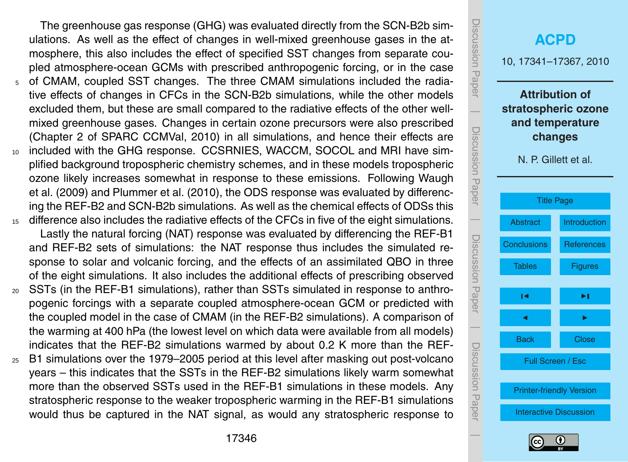<span id="page-5-0"></span>The greenhouse gas response (GHG) was evaluated directly from the SCN-B2b simulations. As well as the effect of changes in well-mixed greenhouse gases in the atmosphere, this also includes the effect of specified SST changes from separate coupled atmosphere-ocean GCMs with prescribed anthropogenic forcing, or in the case <sup>5</sup> of CMAM, coupled SST changes. The three CMAM simulations included the radiative effects of changes in CFCs in the SCN-B2b simulations, while the other models excluded them, but these are small compared to the radiative effects of the other wellmixed greenhouse gases. Changes in certain ozone precursors were also prescribed (Chapter 2 of [SPARC CCMVal,](#page-17-0) [2010\)](#page-17-0) in all simulations, and hence their effects are <sup>10</sup> included with the GHG response. CCSRNIES, WACCM, SOCOL and MRI have simplified background tropospheric chemistry schemes, and in these models tropospheric [o](#page-18-0)zone likely increases somewhat in response to these emissions. Following [Waugh](#page-18-0) [et al.](#page-18-0) [\(2009\)](#page-18-0) and [Plummer et al.](#page-16-0) [\(2010\)](#page-16-0), the ODS response was evaluated by differencing the REF-B2 and SCN-B2b simulations. As well as the chemical effects of ODSs this <sup>15</sup> difference also includes the radiative effects of the CFCs in five of the eight simulations.

Lastly the natural forcing (NAT) response was evaluated by differencing the REF-B1 and REF-B2 sets of simulations: the NAT response thus includes the simulated response to solar and volcanic forcing, and the effects of an assimilated QBO in three of the eight simulations. It also includes the additional effects of prescribing observed

- <sup>20</sup> SSTs (in the REF-B1 simulations), rather than SSTs simulated in response to anthropogenic forcings with a separate coupled atmosphere-ocean GCM or predicted with the coupled model in the case of CMAM (in the REF-B2 simulations). A comparison of the warming at 400 hPa (the lowest level on which data were available from all models) indicates that the REF-B2 simulations warmed by about 0.2 K more than the REF-
- <sup>25</sup> B1 simulations over the 1979–2005 period at this level after masking out post-volcano years – this indicates that the SSTs in the REF-B2 simulations likely warm somewhat more than the observed SSTs used in the REF-B1 simulations in these models. Any stratospheric response to the weaker tropospheric warming in the REF-B1 simulations would thus be captured in the NAT signal, as would any stratospheric response to



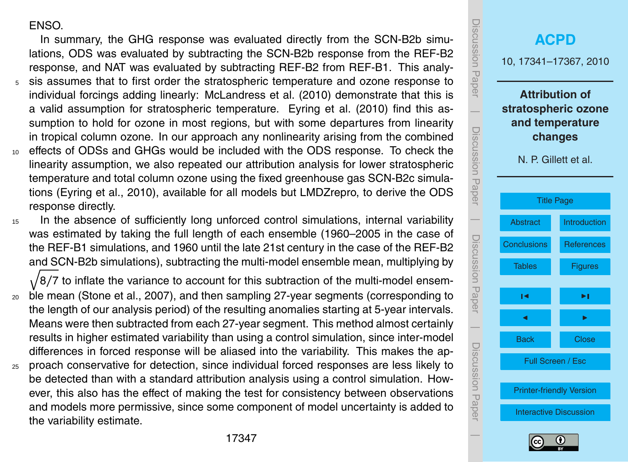#### <span id="page-6-0"></span>ENSO.

the variability estimate.

In summary, the GHG response was evaluated directly from the SCN-B2b simulations, ODS was evaluated by subtracting the SCN-B2b response from the REF-B2 response, and NAT was evaluated by subtracting REF-B2 from REF-B1. This analy-

- <sup>5</sup> sis assumes that to first order the stratospheric temperature and ozone response to individual forcings adding linearly: [McLandress et al.](#page-16-0) [\(2010\)](#page-16-0) demonstrate that this is a valid assumption for stratospheric temperature. [Eyring et al.](#page-15-0) [\(2010\)](#page-15-0) find this assumption to hold for ozone in most regions, but with some departures from linearity in tropical column ozone. In our approach any nonlinearity arising from the combined
- <sup>10</sup> effects of ODSs and GHGs would be included with the ODS response. To check the linearity assumption, we also repeated our attribution analysis for lower stratospheric temperature and total column ozone using the fixed greenhouse gas SCN-B2c simulations [\(Eyring et al.,](#page-15-0) [2010\)](#page-15-0), available for all models but LMDZrepro, to derive the ODS response directly.
- 15 In the absence of sufficiently long unforced control simulations, internal variability was estimated by taking the full length of each ensemble (1960–2005 in the case of the REF-B1 simulations, and 1960 until the late 21st century in the case of the REF-B2 and SCN-B2b simulations), subtracting the multi-model ensemble mean, multiplying by

 $\sqrt{8/7}$  to inflate the variance to account for this subtraction of the multi-model ensem-<sup>20</sup> ble mean [\(Stone et al.,](#page-18-0) [2007\)](#page-18-0), and then sampling 27-year segments (corresponding to the length of our analysis period) of the resulting anomalies starting at 5-year intervals. Means were then subtracted from each 27-year segment. This method almost certainly results in higher estimated variability than using a control simulation, since inter-model differences in forced response will be aliased into the variability. This makes the ap-<sup>25</sup> proach conservative for detection, since individual forced responses are less likely to be detected than with a standard attribution analysis using a control simulation. However, this also has the effect of making the test for consistency between observations and models more permissive, since some component of model uncertainty is added to



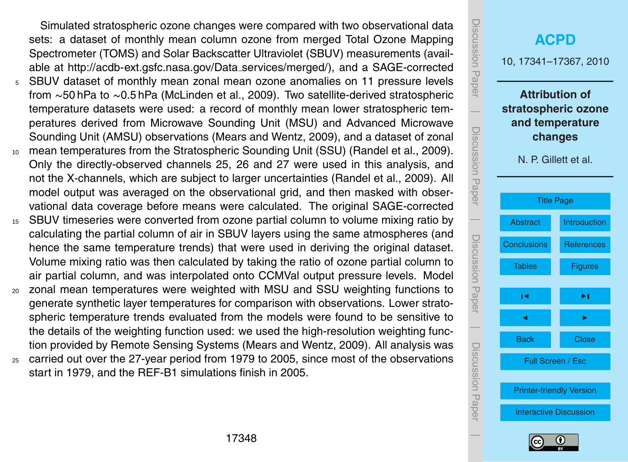<span id="page-7-0"></span>Simulated stratospheric ozone changes were compared with two observational data sets: a dataset of monthly mean column ozone from merged Total Ozone Mapping Spectrometer (TOMS) and Solar Backscatter Ultraviolet (SBUV) measurements (available at [http://acdb-ext.gsfc.nasa.gov/Data](http://acdb-ext.gsfc.nasa.gov/Data_services/merged/) services/merged/), and a SAGE-corrected <sup>5</sup> SBUV dataset of monthly mean zonal mean ozone anomalies on 11 pressure levels

- from ∼50 hPa to ∼0.5 hPa [\(McLinden et al.,](#page-16-0) [2009\)](#page-16-0). Two satellite-derived stratospheric temperature datasets were used: a record of monthly mean lower stratospheric temperatures derived from Microwave Sounding Unit (MSU) and Advanced Microwave Sounding Unit (AMSU) observations [\(Mears and Wentz,](#page-16-0) [2009\)](#page-16-0), and a dataset of zonal
- <sup>10</sup> mean temperatures from the Stratospheric Sounding Unit (SSU) [\(Randel et al.,](#page-16-0) [2009\)](#page-16-0). Only the directly-observed channels 25, 26 and 27 were used in this analysis, and not the X-channels, which are subject to larger uncertainties [\(Randel et al.,](#page-16-0) [2009\)](#page-16-0). All model output was averaged on the observational grid, and then masked with observational data coverage before means were calculated. The original SAGE-corrected
- <sup>15</sup> SBUV timeseries were converted from ozone partial column to volume mixing ratio by calculating the partial column of air in SBUV layers using the same atmospheres (and hence the same temperature trends) that were used in deriving the original dataset. Volume mixing ratio was then calculated by taking the ratio of ozone partial column to air partial column, and was interpolated onto CCMVal output pressure levels. Model
- <sup>20</sup> zonal mean temperatures were weighted with MSU and SSU weighting functions to generate synthetic layer temperatures for comparison with observations. Lower stratospheric temperature trends evaluated from the models were found to be sensitive to the details of the weighting function used: we used the high-resolution weighting function provided by Remote Sensing Systems [\(Mears and Wentz,](#page-16-0) [2009\)](#page-16-0). All analysis was
- <sup>25</sup> carried out over the 27-year period from 1979 to 2005, since most of the observations start in 1979, and the REF-B1 simulations finish in 2005.

| <b>ISCUSSION Paper</b> | <b>ACPD</b><br>10, 17341-17367, 2010                                                               |                   |  |  |  |
|------------------------|----------------------------------------------------------------------------------------------------|-------------------|--|--|--|
| Discussion Paper       | <b>Attribution of</b><br>stratospheric ozone<br>and temperature<br>changes<br>N. P. Gillett et al. |                   |  |  |  |
|                        | <b>Title Page</b>                                                                                  |                   |  |  |  |
|                        | <b>Abstract</b>                                                                                    | Introduction      |  |  |  |
|                        | <b>Conclusions</b>                                                                                 | <b>References</b> |  |  |  |
| Discussion Paper       | Tables                                                                                             | <b>Figures</b>    |  |  |  |
|                        | ∣◀                                                                                                 | ▸∣                |  |  |  |
|                        | d                                                                                                  |                   |  |  |  |
|                        | <b>Back</b>                                                                                        | <b>Close</b>      |  |  |  |
| Discussion<br>Paper    | Full Screen / Esc                                                                                  |                   |  |  |  |
|                        | <b>Printer-friendly Version</b>                                                                    |                   |  |  |  |
|                        | <b>Interactive Discussion</b>                                                                      |                   |  |  |  |
|                        |                                                                                                    |                   |  |  |  |

JISUUSSIUI I Fape

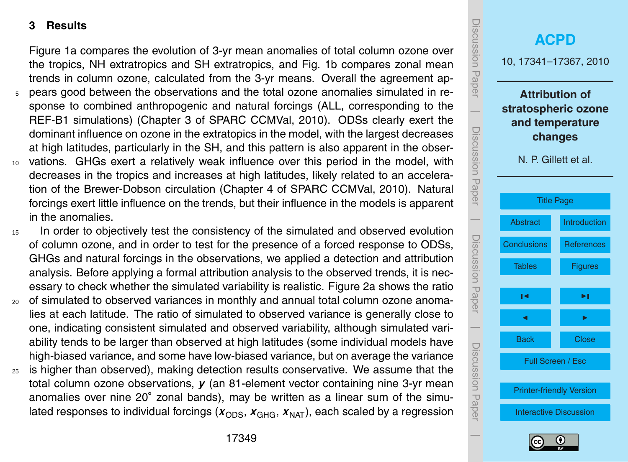#### <span id="page-8-0"></span>**3 Results**

Figure [1a](#page-20-0) compares the evolution of 3-yr mean anomalies of total column ozone over the tropics, NH extratropics and SH extratropics, and Fig. [1b](#page-20-0) compares zonal mean trends in column ozone, calculated from the 3-yr means. Overall the agreement ap-

- <sup>5</sup> pears good between the observations and the total ozone anomalies simulated in response to combined anthropogenic and natural forcings (ALL, corresponding to the REF-B1 simulations) (Chapter 3 of [SPARC CCMVal,](#page-17-0) [2010\)](#page-17-0). ODSs clearly exert the dominant influence on ozone in the extratopics in the model, with the largest decreases at high latitudes, particularly in the SH, and this pattern is also apparent in the obser-
- <sup>10</sup> vations. GHGs exert a relatively weak influence over this period in the model, with decreases in the tropics and increases at high latitudes, likely related to an acceleration of the Brewer-Dobson circulation (Chapter 4 of [SPARC CCMVal,](#page-17-0) [2010\)](#page-17-0). Natural forcings exert little influence on the trends, but their influence in the models is apparent in the anomalies.
- <sup>15</sup> In order to objectively test the consistency of the simulated and observed evolution of column ozone, and in order to test for the presence of a forced response to ODSs, GHGs and natural forcings in the observations, we applied a detection and attribution analysis. Before applying a formal attribution analysis to the observed trends, it is necessary to check whether the simulated variability is realistic. Figure [2a](#page-21-0) shows the ratio
- <sup>20</sup> of simulated to observed variances in monthly and annual total column ozone anomalies at each latitude. The ratio of simulated to observed variance is generally close to one, indicating consistent simulated and observed variability, although simulated variability tends to be larger than observed at high latitudes (some individual models have high-biased variance, and some have low-biased variance, but on average the variance
- $25$  is higher than observed), making detection results conservative. We assume that the total column ozone observations, *y* (an 81-element vector containing nine 3-yr mean anomalies over nine 20° zonal bands), may be written as a linear sum of the simulated responses to individual forcings  $(x_{ODS}, x_{GHG}, x_{NAT})$ , each scaled by a regression



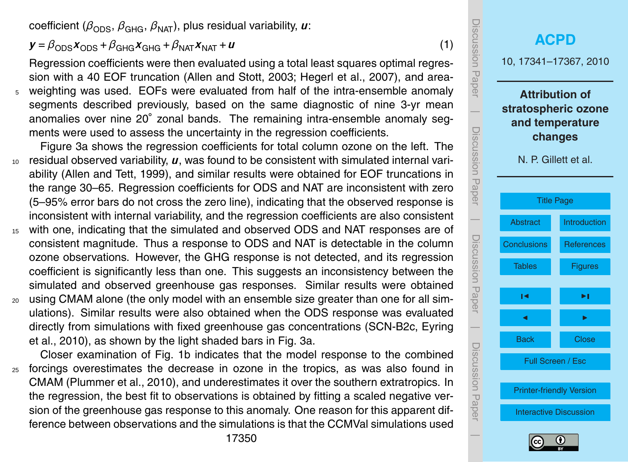<span id="page-9-0"></span>coefficient ( $\beta_{\text{ODS}}, \beta_{\text{GHG}}, \beta_{\text{NAT}}$ ), plus residual variability, *u*:

## $y = \beta_{\text{ODS}} x_{\text{ODS}} + \beta_{\text{GHG}} x_{\text{GHG}} + \beta_{\text{NAT}} x_{\text{NAT}} + u$  (1)

Regression coefficients were then evaluated using a total least squares optimal regression with a 40 EOF truncation [\(Allen and Stott,](#page-15-0) [2003;](#page-15-0) [Hegerl et al.,](#page-15-0) [2007\)](#page-15-0), and areaweighting was used. EOFs were evaluated from half of the intra-ensemble anomaly segments described previously, based on the same diagnostic of nine 3-yr mean anomalies over nine 20° zonal bands. The remaining intra-ensemble anomaly segments were used to assess the uncertainty in the regression coefficients.

- Figure [3a](#page-22-0) shows the regression coefficients for total column ozone on the left. The <sup>10</sup> residual observed variability, *u*, was found to be consistent with simulated internal variability [\(Allen and Tett,](#page-15-0) [1999\)](#page-15-0), and similar results were obtained for EOF truncations in the range 30–65. Regression coefficients for ODS and NAT are inconsistent with zero (5–95% error bars do not cross the zero line), indicating that the observed response is inconsistent with internal variability, and the regression coefficients are also consistent
- <sup>15</sup> with one, indicating that the simulated and observed ODS and NAT responses are of consistent magnitude. Thus a response to ODS and NAT is detectable in the column ozone observations. However, the GHG response is not detected, and its regression coefficient is significantly less than one. This suggests an inconsistency between the simulated and observed greenhouse gas responses. Similar results were obtained
- <sup>20</sup> using CMAM alone (the only model with an ensemble size greater than one for all simulations). Similar results were also obtained when the ODS response was evaluated [d](#page-15-0)irectly from simulations with fixed greenhouse gas concentrations (SCN-B2c, [Eyring](#page-15-0) [et al.,](#page-15-0) [2010\)](#page-15-0), as shown by the light shaded bars in Fig. [3a](#page-22-0).

Closer examination of Fig. [1b](#page-20-0) indicates that the model response to the combined <sup>25</sup> forcings overestimates the decrease in ozone in the tropics, as was also found in CMAM [\(Plummer et al.,](#page-16-0) [2010\)](#page-16-0), and underestimates it over the southern extratropics. In the regression, the best fit to observations is obtained by fitting a scaled negative version of the greenhouse gas response to this anomaly. One reason for this apparent difference between observations and the simulations is that the CCMVal simulations used



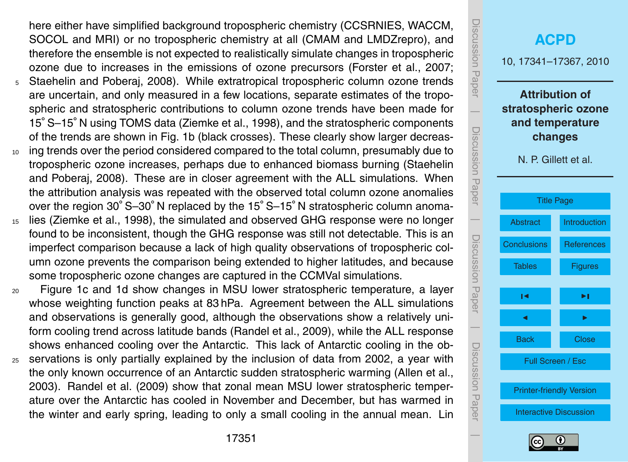<span id="page-10-0"></span>here either have simplified background tropospheric chemistry (CCSRNIES, WACCM, SOCOL and MRI) or no tropospheric chemistry at all (CMAM and LMDZrepro), and therefore the ensemble is not expected to realistically simulate changes in tropospheric ozone due to increases in the emissions of ozone precursors [\(Forster et al.,](#page-15-0) [2007;](#page-15-0) <sup>5</sup> [Staehelin and Poberaj,](#page-17-0) [2008\)](#page-17-0). While extratropical tropospheric column ozone trends are uncertain, and only measured in a few locations, separate estimates of the tropospheric and stratospheric contributions to column ozone trends have been made for 15◦ S–15◦ N using TOMS data [\(Ziemke et al.,](#page-18-0) [1998\)](#page-18-0), and the stratospheric components of the trends are shown in Fig. [1b](#page-20-0) (black crosses). These clearly show larger decreas-

- <sup>10</sup> ing trends over the period considered compared to the total column, presumably due to [t](#page-17-0)ropospheric ozone increases, perhaps due to enhanced biomass burning [\(Staehelin](#page-17-0) [and Poberaj,](#page-17-0) [2008\)](#page-17-0). These are in closer agreement with the ALL simulations. When the attribution analysis was repeated with the observed total column ozone anomalies over the region 30◦ S–30◦ N replaced by the 15◦ S–15◦ N stratospheric column anoma-
- <sup>15</sup> lies [\(Ziemke et al.,](#page-18-0) [1998\)](#page-18-0), the simulated and observed GHG response were no longer found to be inconsistent, though the GHG response was still not detectable. This is an imperfect comparison because a lack of high quality observations of tropospheric column ozone prevents the comparison being extended to higher latitudes, and because some tropospheric ozone changes are captured in the CCMVal simulations.
- <sup>20</sup> Figure [1c](#page-20-0) and [1d](#page-20-0) show changes in MSU lower stratospheric temperature, a layer whose weighting function peaks at 83 hPa. Agreement between the ALL simulations and observations is generally good, although the observations show a relatively uniform cooling trend across latitude bands [\(Randel et al.,](#page-16-0) [2009\)](#page-16-0), while the ALL response shows enhanced cooling over the Antarctic. This lack of Antarctic cooling in the ob-
- <sup>25</sup> servations is only partially explained by the inclusion of data from 2002, a year with the only known occurrence of an Antarctic sudden stratospheric warming [\(Allen et al.,](#page-15-0) [2003\)](#page-15-0). [Randel et al.](#page-16-0) [\(2009\)](#page-16-0) show that zonal mean MSU lower stratospheric temperature over the Antarctic has cooled in November and December, but has warmed in [t](#page-16-0)he winter and early spring, leading to only a small cooling in the annual mean. [Lin](#page-16-0)



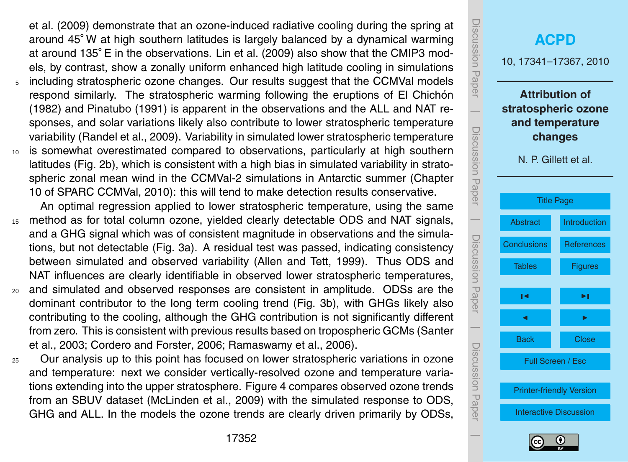<span id="page-11-0"></span>[et al.](#page-16-0) [\(2009\) demonstrate that an ozone-induced radiative cooling during the spring at](#page-16-0) around 45◦ W at high southern latitudes is largely balanced by a dynamical warming at around 135◦ E in the observations. [Lin et al.](#page-16-0) [\(2009\)](#page-16-0) also show that the CMIP3 models, by c[o](#page-16-0)ntrast, show a zonally uniform enhanced high latitude cooling in simulations including stratospheric ozone changes. Our results suggest that the CCMVal models respond similarly. The stratospheric warming following the eruptions of El Chichón (1982) and Pinatubo (1991) is apparent in the observations and the ALL and NAT responses, and solar variations likely also contribute to lower stratospheric temperature variability [\(Randel et al.,](#page-16-0) [2009\)](#page-16-0). Variability in simulated lower stratospheric temperature <sup>10</sup> is somewhat overestimated compared to observations, particularly at high southern latitudes (Fig. [2b](#page-21-0)), which is consistent with a high bias in simulated variability in stratospheric zonal mean wind in the CCMVal-2 simulations in Antarctic summer (Chapter 10 of [SPARC CCMVal,](#page-17-0) [2010\)](#page-17-0): this will tend to make detection results conservative.

An optimal regression applied to lower stratospheric temperature, using the same <sup>15</sup> method as for total column ozone, yielded clearly detectable ODS and NAT signals, and a GHG signal which was of consistent magnitude in observations and the simulations, but not detectable (Fig. [3a](#page-22-0)). A residual test was passed, indicating consistency between simulated and observed variability [\(Allen and Tett,](#page-15-0) [1999\)](#page-15-0). Thus ODS and NAT influences are clearly identifiable in observed lower stratospheric temperatures,

- <sup>20</sup> and simulated and observed responses are consistent in amplitude. ODSs are the dominant contributor to the long term cooling trend (Fig. [3b](#page-22-0)), with GHGs likely also contributing to the cooling, although the GHG contribution is not significantly different [f](#page-17-0)rom zero. This is consistent with previous results based on tropospheric GCMs [\(Santer](#page-17-0) [et al.,](#page-17-0) [2003;](#page-17-0) [Cordero and Forster,](#page-15-0) [2006;](#page-15-0) [Ramaswamy et al.,](#page-16-0) [2006\)](#page-16-0).
- <sup>25</sup> Our analysis up to this point has focused on lower stratospheric variations in ozone and temperature: next we consider vertically-resolved ozone and temperature variations extending into the upper stratosphere. Figure [4](#page-23-0) compares observed ozone trends from an SBUV dataset [\(McLinden et al.,](#page-16-0) [2009\)](#page-16-0) with the simulated response to ODS, GHG and ALL. In the models the ozone trends are clearly driven primarily by ODSs,



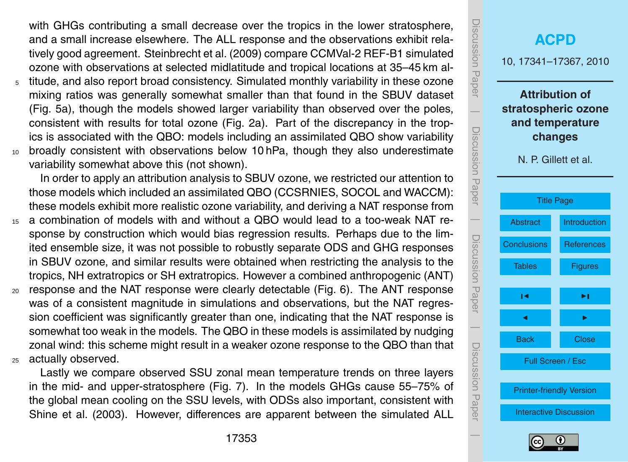<span id="page-12-0"></span>with GHGs contributing a small decrease over the tropics in the lower stratosphere, and a small increase elsewhere. The ALL response and the observations exhibit relatively good agreement. [Steinbrecht et al.](#page-17-0) [\(2009\)](#page-17-0) compare CCMVal-2 REF-B1 simulated ozone with observations at selected midlatitude and tropical locations at 35–45 km al-

- titude, and also report broad consistency. Simulated monthly variability in these ozone mixing ratios was generally somewhat smaller than that found in the SBUV dataset (Fig. [5a](#page-24-0)), though the models showed larger variability than observed over the poles, consistent with results for total ozone (Fig. [2a](#page-21-0)). Part of the discrepancy in the tropics is associated with the QBO: models including an assimilated QBO show variability <sup>10</sup> broadly consistent with observations below 10 hPa, though they also underestimate
	- variability somewhat above this (not shown).

In order to apply an attribution analysis to SBUV ozone, we restricted our attention to those models which included an assimilated QBO (CCSRNIES, SOCOL and WACCM): these models exhibit more realistic ozone variability, and deriving a NAT response from

- <sup>15</sup> a combination of models with and without a QBO would lead to a too-weak NAT response by construction which would bias regression results. Perhaps due to the limited ensemble size, it was not possible to robustly separate ODS and GHG responses in SBUV ozone, and similar results were obtained when restricting the analysis to the tropics, NH extratropics or SH extratropics. However a combined anthropogenic (ANT)
- $20$  response and the NAT response were clearly detectable (Fig. [6\)](#page-25-0). The ANT response was of a consistent magnitude in simulations and observations, but the NAT regression coefficient was significantly greater than one, indicating that the NAT response is somewhat too weak in the models. The QBO in these models is assimilated by nudging zonal wind: this scheme might result in a weaker ozone response to the QBO than that <sup>25</sup> actually observed.

Lastly we compare observed SSU zonal mean temperature trends on three layers in the mid- and upper-stratosphere (Fig. [7\)](#page-26-0). In the models GHGs cause 55–75% of the global mean cooling on the SSU levels, with ODSs also important, consistent with [Shine et al.](#page-17-0) [\(2003\)](#page-17-0). However, differences are apparent between the simulated ALL



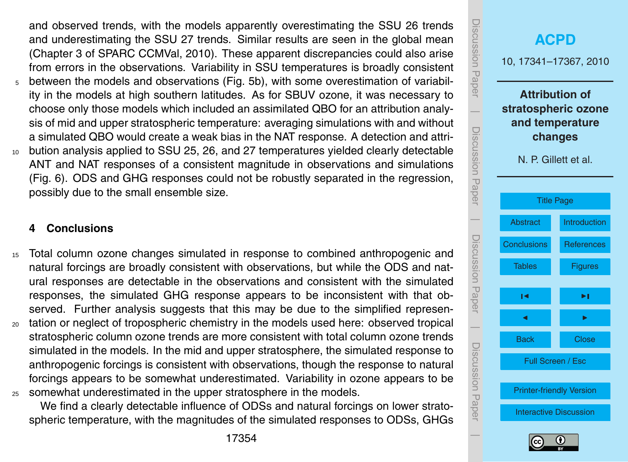<span id="page-13-0"></span>and observed trends, with the models apparently overestimating the SSU 26 trends and underestimating the SSU 27 trends. Similar results are seen in the global mean (Chapter 3 of [SPARC CCMVal,](#page-17-0) [2010\)](#page-17-0). These apparent discrepancies could also arise from errors in the observations. Variability in SSU temperatures is broadly consistent <sup>5</sup> between the models and observations (Fig. [5b](#page-24-0)), with some overestimation of variability in the models at high southern latitudes. As for SBUV ozone, it was necessary to choose only those models which included an assimilated QBO for an attribution analysis of mid and upper stratospheric temperature: averaging simulations with and without a simulated QBO would create a weak bias in the NAT response. A detection and attri-<sup>10</sup> bution analysis applied to SSU 25, 26, and 27 temperatures yielded clearly detectable ANT and NAT responses of a consistent magnitude in observations and simulations (Fig. [6\)](#page-25-0). ODS and GHG responses could not be robustly separated in the regression, possibly due to the small ensemble size.

#### **4 Conclusions**

- <sup>15</sup> Total column ozone changes simulated in response to combined anthropogenic and natural forcings are broadly consistent with observations, but while the ODS and natural responses are detectable in the observations and consistent with the simulated responses, the simulated GHG response appears to be inconsistent with that observed. Further analysis suggests that this may be due to the simplified represen-<sup>20</sup> tation or neglect of tropospheric chemistry in the models used here: observed tropical stratospheric column ozone trends are more consistent with total column ozone trends simulated in the models. In the mid and upper stratosphere, the simulated response to anthropogenic forcings is consistent with observations, though the response to natural forcings appears to be somewhat underestimated. Variability in ozone appears to be
- <sup>25</sup> somewhat underestimated in the upper stratosphere in the models.

We find a clearly detectable influence of ODSs and natural forcings on lower stratospheric temperature, with the magnitudes of the simulated responses to ODSs, GHGs



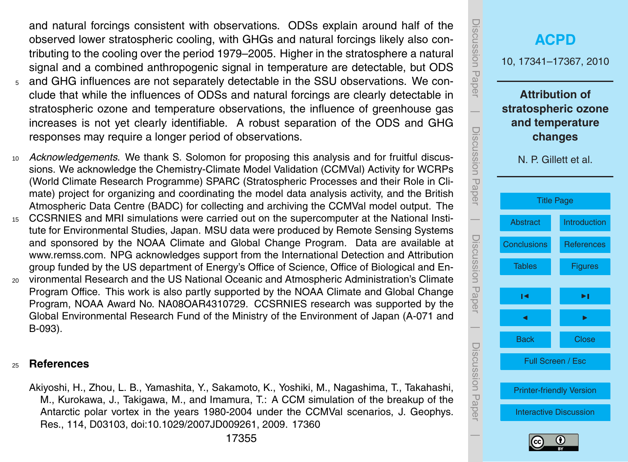<span id="page-14-0"></span>and natural forcings consistent with observations. ODSs explain around half of the observed lower stratospheric cooling, with GHGs and natural forcings likely also contributing to the cooling over the period 1979–2005. Higher in the stratosphere a natural signal and a combined anthropogenic signal in temperature are detectable, but ODS

- <sup>5</sup> and GHG influences are not separately detectable in the SSU observations. We conclude that while the influences of ODSs and natural forcings are clearly detectable in stratospheric ozone and temperature observations, the influence of greenhouse gas increases is not yet clearly identifiable. A robust separation of the ODS and GHG responses may require a longer period of observations.
- <sup>10</sup> *Acknowledgements.* We thank S. Solomon for proposing this analysis and for fruitful discussions. We acknowledge the Chemistry-Climate Model Validation (CCMVal) Activity for WCRPs (World Climate Research Programme) SPARC (Stratospheric Processes and their Role in Climate) project for organizing and coordinating the model data analysis activity, and the British Atmospheric Data Centre (BADC) for collecting and archiving the CCMVal model output. The
- <sup>15</sup> CCSRNIES and MRI simulations were carried out on the supercomputer at the National Institute for Environmental Studies, Japan. MSU data were produced by Remote Sensing Systems and sponsored by the NOAA Climate and Global Change Program. Data are available at [www.remss.com.](www.remss.com) NPG acknowledges support from the International Detection and Attribution group funded by the US department of Energy's Office of Science, Office of Biological and En-
- <sup>20</sup> vironmental Research and the US National Oceanic and Atmospheric Administration's Climate Program Office. This work is also partly supported by the NOAA Climate and Global Change Program, NOAA Award No. NA08OAR4310729. CCSRNIES research was supported by the Global Environmental Research Fund of the Ministry of the Environment of Japan (A-071 and B-093).

#### <sup>25</sup> **References**

Akiyoshi, H., Zhou, L. B., Yamashita, Y., Sakamoto, K., Yoshiki, M., Nagashima, T., Takahashi, M., Kurokawa, J., Takigawa, M., and Imamura, T.: A CCM simulation of the breakup of the Antarctic polar vortex in the years 1980-2004 under the CCMVal scenarios, J. Geophys. Res., 114, D03103, doi:10.1029/2007JD009261, 2009. [17360](#page-19-0)

| <b>ISCUSSION Paper</b>                                                                                                 |                                 | <b>ACPD</b><br>10, 17341-17367, 2010 |  |  |  |  |
|------------------------------------------------------------------------------------------------------------------------|---------------------------------|--------------------------------------|--|--|--|--|
| <b>Attribution of</b><br>stratospheric ozone<br>and temperature<br>Discussion Paper<br>changes<br>N. P. Gillett et al. |                                 |                                      |  |  |  |  |
|                                                                                                                        |                                 | <b>Title Page</b>                    |  |  |  |  |
|                                                                                                                        | <b>Abstract</b>                 | Introduction                         |  |  |  |  |
|                                                                                                                        | <b>Conclusions</b>              | <b>References</b>                    |  |  |  |  |
| Discussion Paper                                                                                                       | Tables                          | <b>Figures</b>                       |  |  |  |  |
|                                                                                                                        | ∣◀                              | ▶∣                                   |  |  |  |  |
|                                                                                                                        | ₫                               |                                      |  |  |  |  |
|                                                                                                                        | <b>Back</b>                     | <b>Close</b>                         |  |  |  |  |
| Discussion Hapel                                                                                                       | Full Screen / Esc               |                                      |  |  |  |  |
|                                                                                                                        | <b>Printer-friendly Version</b> |                                      |  |  |  |  |
|                                                                                                                        | <b>Interactive Discussion</b>   |                                      |  |  |  |  |
|                                                                                                                        |                                 |                                      |  |  |  |  |

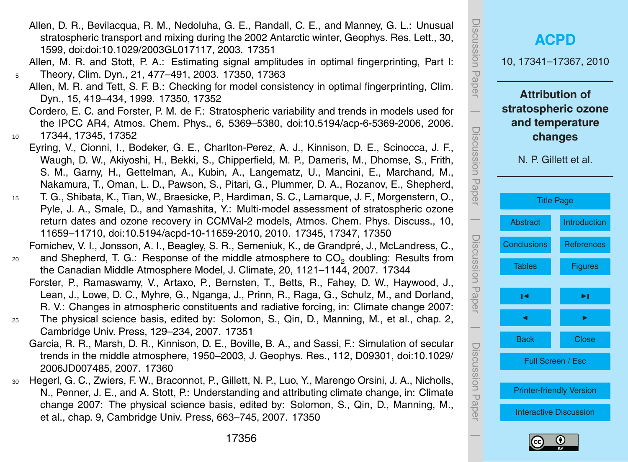<span id="page-15-0"></span>Allen, D. R., Bevilacqua, R. M., Nedoluha, G. E., Randall, C. E., and Manney, G. L.: Unusual stratospheric transport and mixing during the 2002 Antarctic winter, Geophys. Res. Lett., 30, 1599, doi:doi:10.1029/2003GL017117, 2003. [17351](#page-10-0)

Allen, M. R. and Stott, P. A.: Estimating signal amplitudes in optimal fingerprinting, Part I: <sup>5</sup> Theory, Clim. Dyn., 21, 477–491, 2003. [17350,](#page-9-0) [17363](#page-22-0)

Allen, M. R. and Tett, S. F. B.: Checking for model consistency in optimal fingerprinting, Clim. Dyn., 15, 419–434, 1999. [17350,](#page-9-0) [17352](#page-11-0)

Cordero, E. C. and Forster, P. M. de F.: Stratospheric variability and trends in models used for the IPCC AR4, Atmos. Chem. Phys., 6, 5369–5380, doi:10.5194/acp-6-5369-2006, 2006. <sup>10</sup> [17344,](#page-3-0) [17345,](#page-4-0) [17352](#page-11-0)

- Eyring, V., Cionni, I., Bodeker, G. E., Charlton-Perez, A. J., Kinnison, D. E., Scinocca, J. F., Waugh, D. W., Akiyoshi, H., Bekki, S., Chipperfield, M. P., Dameris, M., Dhomse, S., Frith, S. M., Garny, H., Gettelman, A., Kubin, A., Langematz, U., Mancini, E., Marchand, M., Nakamura, T., Oman, L. D., Pawson, S., Pitari, G., Plummer, D. A., Rozanov, E., Shepherd,
- <sup>15</sup> T. G., Shibata, K., Tian, W., Braesicke, P., Hardiman, S. C., Lamarque, J. F., Morgenstern, O., Pyle, J. A., Smale, D., and Yamashita, Y.: Multi-model assessment of stratospheric ozone return dates and ozone recovery in CCMVal-2 models, Atmos. Chem. Phys. Discuss., 10, 11659–11710, doi:10.5194/acpd-10-11659-2010, 2010. [17345,](#page-4-0) [17347,](#page-6-0) [17350](#page-9-0)

Fomichev, V. I., Jonsson, A. I., Beagley, S. R., Semeniuk, K., de Grandpré, J., McLandress, C.,  $20$  and Shepherd, T. G.: Response of the middle atmosphere to  $CO<sub>2</sub>$  doubling: Results from the Canadian Middle Atmosphere Model, J. Climate, 20, 1121–1144, 2007. [17344](#page-3-0)

- Forster, P., Ramaswamy, V., Artaxo, P., Bernsten, T., Betts, R., Fahey, D. W., Haywood, J., Lean, J., Lowe, D. C., Myhre, G., Nganga, J., Prinn, R., Raga, G., Schulz, M., and Dorland, R. V.: Changes in atmospheric constituents and radiative forcing, in: Climate change 2007:
- <sup>25</sup> The physical science basis, edited by: Solomon, S., Qin, D., Manning, M., et al., chap. 2, Cambridge Univ. Press, 129–234, 2007. [17351](#page-10-0)
	- Garcia, R. R., Marsh, D. R., Kinnison, D. E., Boville, B. A., and Sassi, F.: Simulation of secular trends in the middle atmosphere, 1950–2003, J. Geophys. Res., 112, D09301, doi:10.1029/ 2006JD007485, 2007. [17360](#page-19-0)
- <sup>30</sup> Hegerl, G. C., Zwiers, F. W., Braconnot, P., Gillett, N. P., Luo, Y., Marengo Orsini, J. A., Nicholls, N., Penner, J. E., and A. Stott, P.: Understanding and attributing climate change, in: Climate change 2007: The physical science basis, edited by: Solomon, S., Qin, D., Manning, M., et al., chap. 9, Cambridge Univ. Press, 663–745, 2007. [17350](#page-9-0)



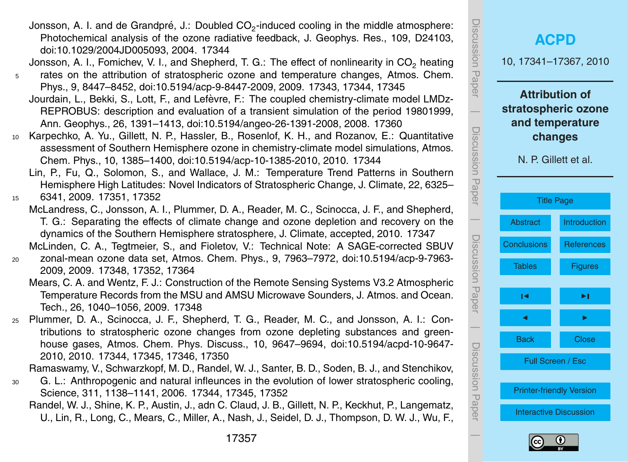<span id="page-16-0"></span>Jonsson, A. I. and de Grandpré, J.: Doubled CO<sub>2</sub>-induced cooling in the middle atmosphere: Photochemical analysis of the ozone radiative feedback, J. Geophys. Res., 109, D24103, doi:10.1029/2004JD005093, 2004. [17344](#page-3-0)

Jonsson, A. I., Fomichev, V. I., and Shepherd, T. G.: The effect of nonlinearity in CO<sub>2</sub> heating

- <sup>5</sup> rates on the attribution of stratospheric ozone and temperature changes, Atmos. Chem. Phys., 9, 8447–8452, doi:10.5194/acp-9-8447-2009, 2009. [17343,](#page-2-0) [17344,](#page-3-0) [17345](#page-4-0)
	- Jourdain, L., Bekki, S., Lott, F., and Lefèvre, F.: The coupled chemistry-climate model LMDz-REPROBUS: description and evaluation of a transient simulation of the period 19801999, Ann. Geophys., 26, 1391–1413, doi:10.5194/angeo-26-1391-2008, 2008. [17360](#page-19-0)
- <sup>10</sup> Karpechko, A. Yu., Gillett, N. P., Hassler, B., Rosenlof, K. H., and Rozanov, E.: Quantitative assessment of Southern Hemisphere ozone in chemistry-climate model simulations, Atmos. Chem. Phys., 10, 1385–1400, doi:10.5194/acp-10-1385-2010, 2010. [17344](#page-3-0)
	- Lin, P., Fu, Q., Solomon, S., and Wallace, J. M.: Temperature Trend Patterns in Southern Hemisphere High Latitudes: Novel Indicators of Stratospheric Change, J. Climate, 22, 6325–

<sup>15</sup> 6341, 2009. [17351,](#page-10-0) [17352](#page-11-0)

- McLandress, C., Jonsson, A. I., Plummer, D. A., Reader, M. C., Scinocca, J. F., and Shepherd, T. G.: Separating the effects of climate change and ozone depletion and recovery on the dynamics of the Southern Hemisphere stratosphere, J. Climate, accepted, 2010. [17347](#page-6-0)
- McLinden, C. A., Tegtmeier, S., and Fioletov, V.: Technical Note: A SAGE-corrected SBUV <sup>20</sup> zonal-mean ozone data set, Atmos. Chem. Phys., 9, 7963–7972, doi:10.5194/acp-9-7963- 2009, 2009. [17348,](#page-7-0) [17352,](#page-11-0) [17364](#page-23-0)
	- Mears, C. A. and Wentz, F. J.: Construction of the Remote Sensing Systems V3.2 Atmospheric Temperature Records from the MSU and AMSU Microwave Sounders, J. Atmos. and Ocean. Tech., 26, 1040–1056, 2009. [17348](#page-7-0)
- <sup>25</sup> Plummer, D. A., Scinocca, J. F., Shepherd, T. G., Reader, M. C., and Jonsson, A. I.: Contributions to stratospheric ozone changes from ozone depleting substances and greenhouse gases, Atmos. Chem. Phys. Discuss., 10, 9647–9694, doi:10.5194/acpd-10-9647- 2010, 2010. [17344,](#page-3-0) [17345,](#page-4-0) [17346,](#page-5-0) [17350](#page-9-0)

Ramaswamy, V., Schwarzkopf, M. D., Randel, W. J., Santer, B. D., Soden, B. J., and Stenchikov,

- <sup>30</sup> G. L.: Anthropogenic and natural infleunces in the evolution of lower stratospheric cooling, Science, 311, 1138–1141, 2006. [17344,](#page-3-0) [17345,](#page-4-0) [17352](#page-11-0)
	- Randel, W. J., Shine, K. P., Austin, J., adn C. Claud, J. B., Gillett, N. P., Keckhut, P., Langematz, U., Lin, R., Long, C., Mears, C., Miller, A., Nash, J., Seidel, D. J., Thompson, D. W. J., Wu, F.,



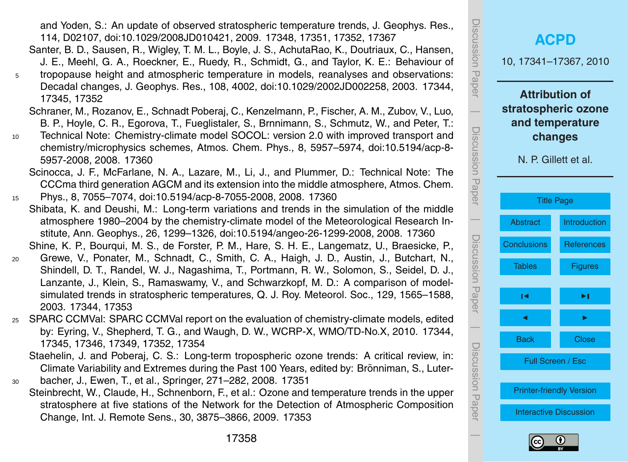<span id="page-17-0"></span>and Yoden, S.: An update of observed stratospheric temperature trends, J. Geophys. Res., 114, D02107, doi:10.1029/2008JD010421, 2009. [17348,](#page-7-0) [17351,](#page-10-0) [17352,](#page-11-0) [17367](#page-26-0)

- Santer, B. D., Sausen, R., Wigley, T. M. L., Boyle, J. S., AchutaRao, K., Doutriaux, C., Hansen, J. E., Meehl, G. A., Roeckner, E., Ruedy, R., Schmidt, G., and Taylor, K. E.: Behaviour of <sup>5</sup> tropopause height and atmospheric temperature in models, reanalyses and observations: Decadal changes, J. Geophys. Res., 108, 4002, doi:10.1029/2002JD002258, 2003. [17344,](#page-3-0) [17345,](#page-4-0) [17352](#page-11-0)
	- Schraner, M., Rozanov, E., Schnadt Poberaj, C., Kenzelmann, P., Fischer, A. M., Zubov, V., Luo, B. P., Hoyle, C. R., Egorova, T., Fueglistaler, S., Brnnimann, S., Schmutz, W., and Peter, T.:
- <sup>10</sup> Technical Note: Chemistry-climate model SOCOL: version 2.0 with improved transport and chemistry/microphysics schemes, Atmos. Chem. Phys., 8, 5957–5974, doi:10.5194/acp-8- 5957-2008, 2008. [17360](#page-19-0)
	- Scinocca, J. F., McFarlane, N. A., Lazare, M., Li, J., and Plummer, D.: Technical Note: The CCCma third generation AGCM and its extension into the middle atmosphere, Atmos. Chem.
- <sup>15</sup> Phys., 8, 7055–7074, doi:10.5194/acp-8-7055-2008, 2008. [17360](#page-19-0)
- Shibata, K. and Deushi, M.: Long-term variations and trends in the simulation of the middle atmosphere 1980–2004 by the chemistry-climate model of the Meteorological Research Institute, Ann. Geophys., 26, 1299–1326, doi:10.5194/angeo-26-1299-2008, 2008. [17360](#page-19-0) Shine, K. P., Bourqui, M. S., de Forster, P. M., Hare, S. H. E., Langematz, U., Braesicke, P.,
- <sup>20</sup> Grewe, V., Ponater, M., Schnadt, C., Smith, C. A., Haigh, J. D., Austin, J., Butchart, N., Shindell, D. T., Randel, W. J., Nagashima, T., Portmann, R. W., Solomon, S., Seidel, D. J., Lanzante, J., Klein, S., Ramaswamy, V., and Schwarzkopf, M. D.: A comparison of modelsimulated trends in stratospheric temperatures, Q. J. Roy. Meteorol. Soc., 129, 1565–1588, 2003. [17344,](#page-3-0) [17353](#page-12-0)
- <sup>25</sup> SPARC CCMVal: SPARC CCMVal report on the evaluation of chemistry-climate models, edited by: Eyring, V., Shepherd, T. G., and Waugh, D. W., WCRP-X, WMO/TD-No.X, 2010. [17344,](#page-3-0) [17345,](#page-4-0) [17346,](#page-5-0) [17349,](#page-8-0) [17352,](#page-11-0) [17354](#page-13-0)
	- Staehelin, J. and Poberaj, C. S.: Long-term tropospheric ozone trends: A critical review, in: Climate Variability and Extremes during the Past 100 Years, edited by: Brönniman, S., Luter-
- <sup>30</sup> bacher, J., Ewen, T., et al., Springer, 271–282, 2008. [17351](#page-10-0) Steinbrecht, W., Claude, H., Schnenborn, F., et al.: Ozone and temperature trends in the upper stratosphere at five stations of the Network for the Detection of Atmospheric Composition Change, Int. J. Remote Sens., 30, 3875–3866, 2009. [17353](#page-12-0)



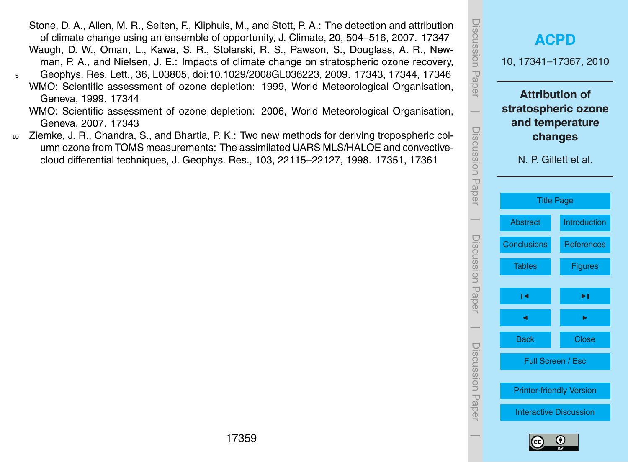<span id="page-18-0"></span>Stone, D. A., Allen, M. R., Selten, F., Kliphuis, M., and Stott, P. A.: The detection and attribution of climate change using an ensemble of opportunity, J. Climate, 20, 504–516, 2007. [17347](#page-6-0) Waugh, D. W., Oman, L., Kawa, S. R., Stolarski, R. S., Pawson, S., Douglass, A. R., Newman, P. A., and Nielsen, J. E.: Impacts of climate change on stratospheric ozone recovery, <sup>5</sup> Geophys. Res. Lett., 36, L03805, doi:10.1029/2008GL036223, 2009. [17343,](#page-2-0) [17344,](#page-3-0) [17346](#page-5-0) WMO: Scientific assessment of ozone depletion: 1999, World Meteorological Organisation,

Geneva, 1999. [17344](#page-3-0) WMO: Scientific assessment of ozone depletion: 2006, World Meteorological Organisation, Geneva, 2007. [17343](#page-2-0)

<sup>10</sup> Ziemke, J. R., Chandra, S., and Bhartia, P. K.: Two new methods for deriving tropospheric column ozone from TOMS measurements: The assimilated UARS MLS/HALOE and convectivecloud differential techniques, J. Geophys. Res., 103, 22115–22127, 1998. [17351,](#page-10-0) [17361](#page-20-0)

| iscussion Paper     | <b>ACPD</b><br>10, 17341-17367, 2010<br><b>Attribution of</b><br>stratospheric ozone<br>and temperature<br>changes<br>N. P. Gillett et al. |                   |  |  |  |
|---------------------|--------------------------------------------------------------------------------------------------------------------------------------------|-------------------|--|--|--|
| Discussion Paper    |                                                                                                                                            |                   |  |  |  |
|                     | <b>Title Page</b>                                                                                                                          |                   |  |  |  |
|                     | <b>Abstract</b>                                                                                                                            | Introduction      |  |  |  |
|                     | <b>Conclusions</b>                                                                                                                         | <b>References</b> |  |  |  |
| Discussion Paper    | <b>Tables</b>                                                                                                                              | <b>Figures</b>    |  |  |  |
|                     | I٩                                                                                                                                         | ▸∣                |  |  |  |
|                     | ◀                                                                                                                                          |                   |  |  |  |
|                     | <b>Back</b>                                                                                                                                | <b>Close</b>      |  |  |  |
|                     | Full Screen / Esc                                                                                                                          |                   |  |  |  |
| JISCUSSION<br>Papel | <b>Printer-friendly Version</b>                                                                                                            |                   |  |  |  |
|                     | <b>Interactive Discussion</b>                                                                                                              |                   |  |  |  |
|                     |                                                                                                                                            |                   |  |  |  |

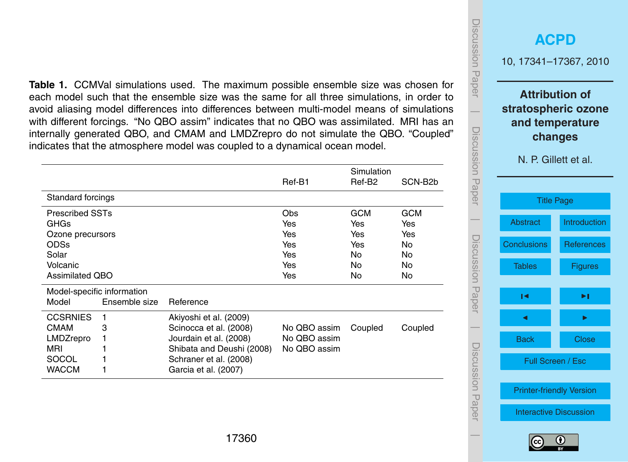<span id="page-19-0"></span>**Table 1.** CCMVal simulations used. The maximum possible ensemble size was chosen for each model such that the ensemble size was the same for all three simulations, in order to avoid aliasing model differences into differences between multi-model means of simulations with different forcings. "No QBO assim" indicates that no QBO was assimilated. MRI has an internally generated QBO, and CMAM and LMDZrepro do not simulate the QBO. "Coupled" indicates that the atmosphere model was coupled to a dynamical ocean model.

|                        |                            |                           | Ref-B1       | Simulation<br>Ref-B <sub>2</sub> | SCN-B <sub>2</sub> b |
|------------------------|----------------------------|---------------------------|--------------|----------------------------------|----------------------|
| Standard forcings      |                            |                           |              |                                  |                      |
| <b>Prescribed SSTs</b> |                            |                           | Obs          | <b>GCM</b>                       | <b>GCM</b>           |
| GHGs                   |                            |                           | Yes          | Yes                              | Yes                  |
| Ozone precursors       |                            |                           | Yes          | Yes                              | Yes                  |
| <b>ODSs</b>            |                            |                           | Yes          | Yes                              | <b>No</b>            |
| Solar                  |                            |                           | Yes          | No                               | <b>No</b>            |
| Volcanic               |                            |                           | Yes          | No                               | No                   |
| <b>Assimilated QBO</b> |                            |                           | Yes          | No                               | No                   |
|                        | Model-specific information |                           |              |                                  |                      |
| Model                  | Ensemble size              | Reference                 |              |                                  |                      |
| <b>CCSRNIES</b>        | 1                          | Akiyoshi et al. (2009)    |              |                                  |                      |
| <b>CMAM</b>            | 3                          | Scinocca et al. (2008)    | No QBO assim | Coupled                          | Coupled              |
| LMDZrepro              |                            | Jourdain et al. (2008)    | No QBO assim |                                  |                      |
| MRI                    |                            | Shibata and Deushi (2008) | No QBO assim |                                  |                      |
| SOCOL                  |                            | Schraner et al. (2008)    |              |                                  |                      |
| <b>WACCM</b>           |                            | Garcia et al. (2007)      |              |                                  |                      |

**[ACPD](http://www.atmos-chem-phys-discuss.net)** 10, 17341–17367, 2010 **Attribution of stratospheric ozone and temperature changes** N. P. Gillett et al. [Title Page](#page-0-0) [Abstract](#page-2-0) [Introduction](#page-2-0) [Conclusions](#page-13-0) [References](#page-14-0) Tables [Figures](#page-20-0)  $\sim$  J  $\sim$ J I Back Close Full Screen / Esc [Printer-friendly Version](http://www.atmos-chem-phys-discuss.net/10/17341/2010/acpd-10-17341-2010-print.pdf) [Interactive Discussion](http://www.atmos-chem-phys-discuss.net/10/17341/2010/acpd-10-17341-2010-discussion.html)

Discussion Paper

Discussion Paper

 $\overline{\phantom{a}}$ 

Discussion Paper

Discussion Paper

 $\overline{\phantom{a}}$ 

Discussion Paper

Discussion Paper

 $\overline{\phantom{a}}$ 

Discussion Paper

Discussion Paper

 $\overline{\phantom{a}}$ 

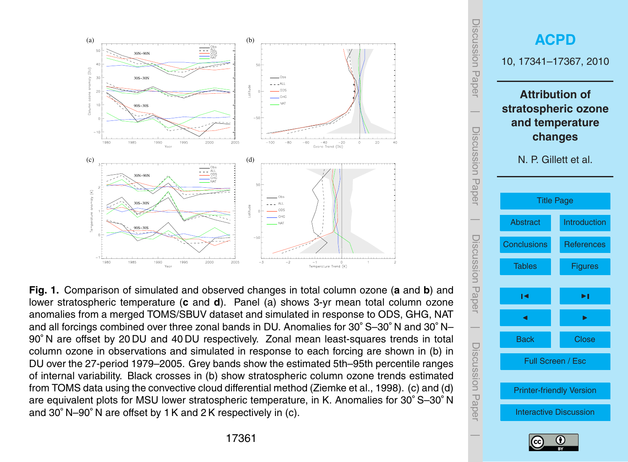<span id="page-20-0"></span>

**Fig. 1.** Comparison of simulated and observed changes in total column ozone (**a** and **b**) and lower stratospheric temperature (**c** and **d**). Panel (a) shows 3-yr mean total column ozone anomalies from a merged TOMS/SBUV dataset and simulated in response to ODS, GHG, NAT and all forcings combined over three zonal bands in DU. Anomalies for 30◦ S–30◦ N and 30◦ N– 90◦ N are offset by 20 DU and 40 DU respectively. Zonal mean least-squares trends in total column ozone in observations and simulated in response to each forcing are shown in (b) in DU over the 27-period 1979–2005. Grey bands show the estimated 5th–95th percentile ranges of internal variability. Black crosses in (b) show stratospheric column ozone trends estimated from TOMS data using the convective cloud differential method [\(Ziemke et al.,](#page-18-0) [1998\)](#page-18-0). (c) and (d) are equivalent plots for MSU lower stratospheric temperature, in K. Anomalies for 30◦ S–30◦ N and 30◦ N–90◦ N are offset by 1 K and 2 K respectively in (c).

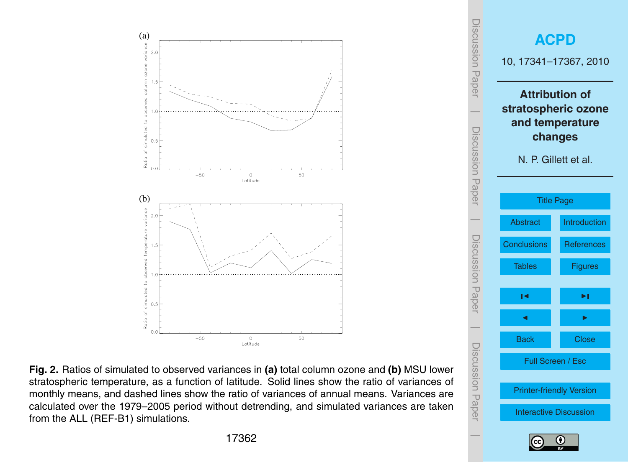<span id="page-21-0"></span>



**Fig. 2.** Ratios of simulated to observed variances in **(a)** total column ozone and **(b)** MSU lower stratospheric temperature, as a function of latitude. Solid lines show the ratio of variances of monthly means, and dashed lines show the ratio of variances of annual means. Variances are calculated over the 1979–2005 period without detrending, and simulated variances are taken from the ALL (REF-B1) simulations.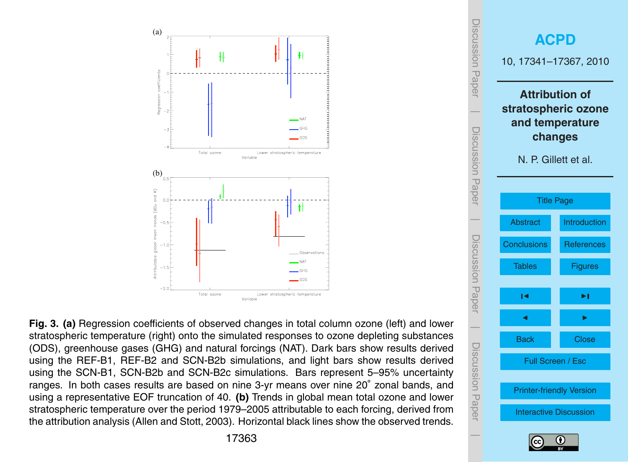<span id="page-22-0"></span>

**Fig. 3. (a)** Regression coefficients of observed changes in total column ozone (left) and lower stratospheric temperature (right) onto the simulated responses to ozone depleting substances (ODS), greenhouse gases (GHG) and natural forcings (NAT). Dark bars show results derived using the REF-B1, REF-B2 and SCN-B2b simulations, and light bars show results derived using the SCN-B1, SCN-B2b and SCN-B2c simulations. Bars represent 5–95% uncertainty ranges. In both cases results are based on nine 3-yr means over nine 20◦ zonal bands, and using a representative EOF truncation of 40. **(b)** Trends in global mean total ozone and lower stratospheric temperature over the period 1979–2005 attributable to each forcing, derived from the attribution analysis [\(Allen and Stott,](#page-15-0) [2003\)](#page-15-0). Horizontal black lines show the observed trends.



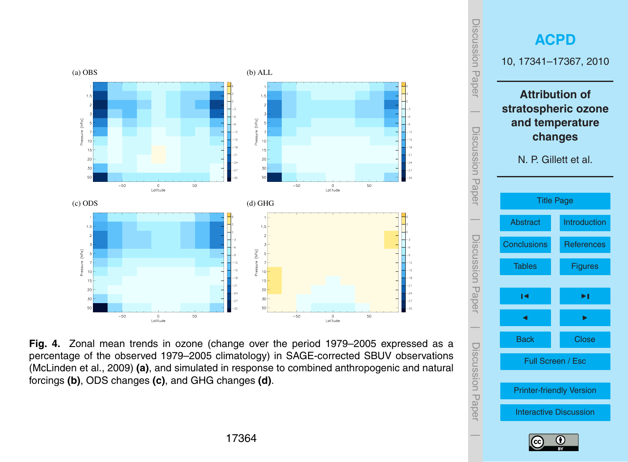<span id="page-23-0"></span>

**Fig. 4.** Zonal mean trends in ozone (change over the period 1979–2005 expressed as a percentage of the observed 1979–2005 climatology) in SAGE-corrected SBUV observations [\(McLinden et al.,](#page-16-0) [2009\)](#page-16-0) **(a)**, and simulated in response to combined anthropogenic and natural forcings **(b)**, ODS changes **(c)**, and GHG changes **(d)**.



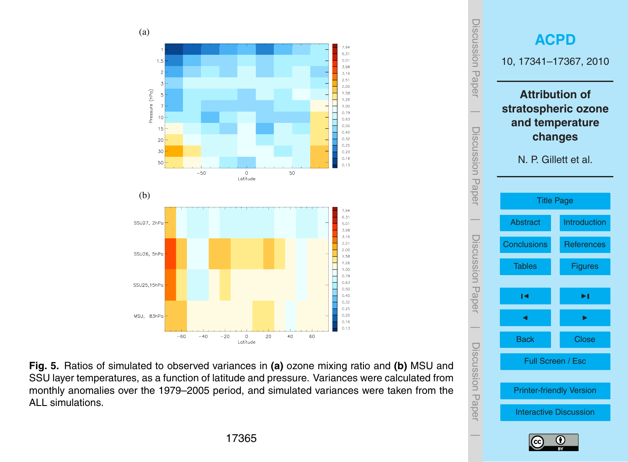<span id="page-24-0"></span>





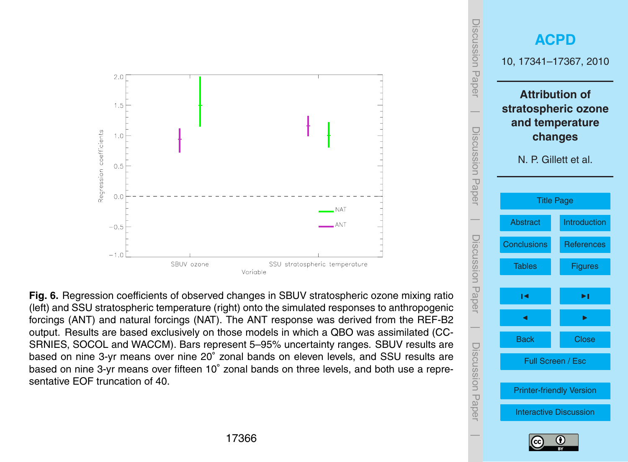<span id="page-25-0"></span>

**Fig. 6.** Regression coefficients of observed changes in SBUV stratospheric ozone mixing ratio (left) and SSU stratospheric temperature (right) onto the simulated responses to anthropogenic forcings (ANT) and natural forcings (NAT). The ANT response was derived from the REF-B2 output. Results are based exclusively on those models in which a QBO was assimilated (CC-SRNIES, SOCOL and WACCM). Bars represent 5–95% uncertainty ranges. SBUV results are based on nine 3-yr means over nine 20° zonal bands on eleven levels, and SSU results are based on nine 3-yr means over fifteen 10° zonal bands on three levels, and both use a representative EOF truncation of 40.